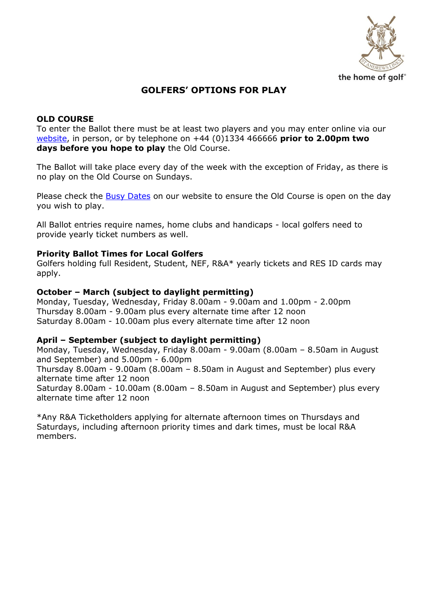

# **GOLFERS' OPTIONS FOR PLAY**

# **OLD COURSE**

To enter the Ballot there must be at least two players and you may enter online via our [website,](https://www.standrews.com/) in person, or by telephone on +44 (0)1334 466666 **prior to 2.00pm two days before you hope to play** the Old Course.

The Ballot will take place every day of the week with the exception of Friday, as there is no play on the Old Course on Sundays.

Please check the [Busy Dates](https://www.standrews.com/play/busy-dates) on our website to ensure the Old Course is open on the day you wish to play.

All Ballot entries require names, home clubs and handicaps - local golfers need to provide yearly ticket numbers as well.

# **Priority Ballot Times for Local Golfers**

Golfers holding full Resident, Student, NEF, R&A\* yearly tickets and RES ID cards may apply.

# **October – March (subject to daylight permitting)**

Monday, Tuesday, Wednesday, Friday 8.00am - 9.00am and 1.00pm - 2.00pm Thursday 8.00am - 9.00am plus every alternate time after 12 noon Saturday 8.00am - 10.00am plus every alternate time after 12 noon

# **April – September (subject to daylight permitting)**

Monday, Tuesday, Wednesday, Friday 8.00am - 9.00am (8.00am – 8.50am in August and September) and 5.00pm - 6.00pm Thursday 8.00am - 9.00am (8.00am – 8.50am in August and September) plus every alternate time after 12 noon Saturday 8.00am - 10.00am (8.00am – 8.50am in August and September) plus every alternate time after 12 noon

\*Any R&A Ticketholders applying for alternate afternoon times on Thursdays and Saturdays, including afternoon priority times and dark times, must be local R&A members.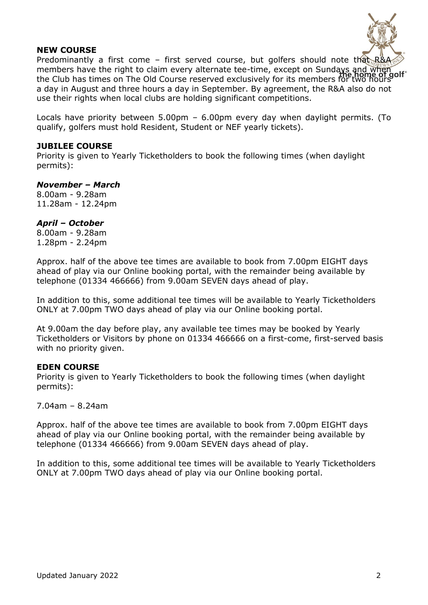# **NEW COURSE**



Predominantly a first come – first served course, but golfers should note that  $R\&$ members have the right to claim every alternate tee-time, except on Sundays and when the Club has times on The Old Course reserved exclusively for its members for two hours a day in August and three hours a day in September. By agreement, the R&A also do not use their rights when local clubs are holding significant competitions.

Locals have priority between 5.00pm – 6.00pm every day when daylight permits. (To qualify, golfers must hold Resident, Student or NEF yearly tickets).

### **JUBILEE COURSE**

Priority is given to Yearly Ticketholders to book the following times (when daylight permits):

#### *November – March*

8.00am - 9.28am 11.28am - 12.24pm

#### *April – October*

8.00am - 9.28am 1.28pm - 2.24pm

Approx. half of the above tee times are available to book from 7.00pm EIGHT days ahead of play via our Online booking portal, with the remainder being available by telephone (01334 466666) from 9.00am SEVEN days ahead of play.

In addition to this, some additional tee times will be available to Yearly Ticketholders ONLY at 7.00pm TWO days ahead of play via our Online booking portal.

At 9.00am the day before play, any available tee times may be booked by Yearly Ticketholders or Visitors by phone on 01334 466666 on a first-come, first-served basis with no priority given.

#### **EDEN COURSE**

Priority is given to Yearly Ticketholders to book the following times (when daylight permits):

7.04am – 8.24am

Approx. half of the above tee times are available to book from 7.00pm EIGHT days ahead of play via our Online booking portal, with the remainder being available by telephone (01334 466666) from 9.00am SEVEN days ahead of play.

In addition to this, some additional tee times will be available to Yearly Ticketholders ONLY at 7.00pm TWO days ahead of play via our Online booking portal.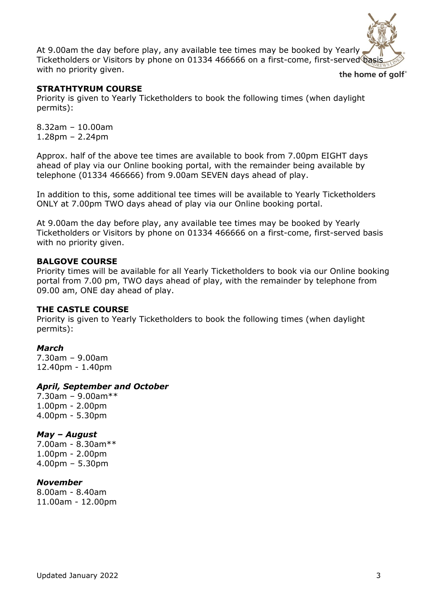

#### **STRATHTYRUM COURSE**

Priority is given to Yearly Ticketholders to book the following times (when daylight permits):

8.32am – 10.00am 1.28pm – 2.24pm

Approx. half of the above tee times are available to book from 7.00pm EIGHT days ahead of play via our Online booking portal, with the remainder being available by telephone (01334 466666) from 9.00am SEVEN days ahead of play.

In addition to this, some additional tee times will be available to Yearly Ticketholders ONLY at 7.00pm TWO days ahead of play via our Online booking portal.

At 9.00am the day before play, any available tee times may be booked by Yearly Ticketholders or Visitors by phone on 01334 466666 on a first-come, first-served basis with no priority given.

# **BALGOVE COURSE**

Priority times will be available for all Yearly Ticketholders to book via our Online booking portal from 7.00 pm, TWO days ahead of play, with the remainder by telephone from 09.00 am, ONE day ahead of play.

#### **THE CASTLE COURSE**

Priority is given to Yearly Ticketholders to book the following times (when daylight permits):

#### *March*

7.30am – 9.00am 12.40pm - 1.40pm

#### *April, September and October*

7.30am – 9.00am\*\* 1.00pm - 2.00pm 4.00pm - 5.30pm

# *May – August*

7.00am - 8.30am\*\* 1.00pm - 2.00pm 4.00pm – 5.30pm

#### *November*

8.00am - 8.40am 11.00am - 12.00pm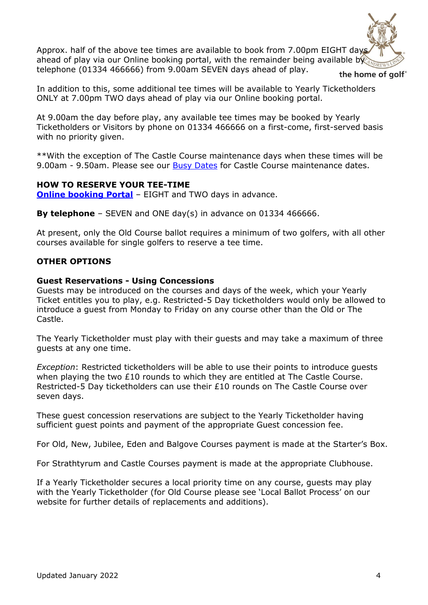Approx. half of the above tee times are available to book from 7.00pm EIGHT days ahead of play via our Online booking portal, with the remainder being available by telephone (01334 466666) from 9.00am SEVEN days ahead of play.



In addition to this, some additional tee times will be available to Yearly Ticketholders ONLY at 7.00pm TWO days ahead of play via our Online booking portal.

At 9.00am the day before play, any available tee times may be booked by Yearly Ticketholders or Visitors by phone on 01334 466666 on a first-come, first-served basis with no priority given.

\*\*With the exception of The Castle Course maintenance days when these times will be 9.00am - 9.50am. Please see our [Busy Dates](https://www.standrews.com/play/busy-dates) for Castle Course maintenance dates.

# **HOW TO RESERVE YOUR TEE-TIME**

**[Online booking Portal](https://www.standrews.com/Online-Services/Book-Online)** – EIGHT and TWO days in advance.

**By telephone** – SEVEN and ONE day(s) in advance on 01334 466666.

At present, only the Old Course ballot requires a minimum of two golfers, with all other courses available for single golfers to reserve a tee time.

# **OTHER OPTIONS**

# **Guest Reservations - Using Concessions**

Guests may be introduced on the courses and days of the week, which your Yearly Ticket entitles you to play, e.g. Restricted-5 Day ticketholders would only be allowed to introduce a guest from Monday to Friday on any course other than the Old or The Castle.

The Yearly Ticketholder must play with their guests and may take a maximum of three guests at any one time.

*Exception*: Restricted ticketholders will be able to use their points to introduce guests when playing the two £10 rounds to which they are entitled at The Castle Course. Restricted-5 Day ticketholders can use their £10 rounds on The Castle Course over seven days.

These guest concession reservations are subject to the Yearly Ticketholder having sufficient guest points and payment of the appropriate Guest concession fee.

For Old, New, Jubilee, Eden and Balgove Courses payment is made at the Starter's Box.

For Strathtyrum and Castle Courses payment is made at the appropriate Clubhouse.

If a Yearly Ticketholder secures a local priority time on any course, guests may play with the Yearly Ticketholder (for Old Course please see 'Local Ballot Process' on our website for further details of replacements and additions).